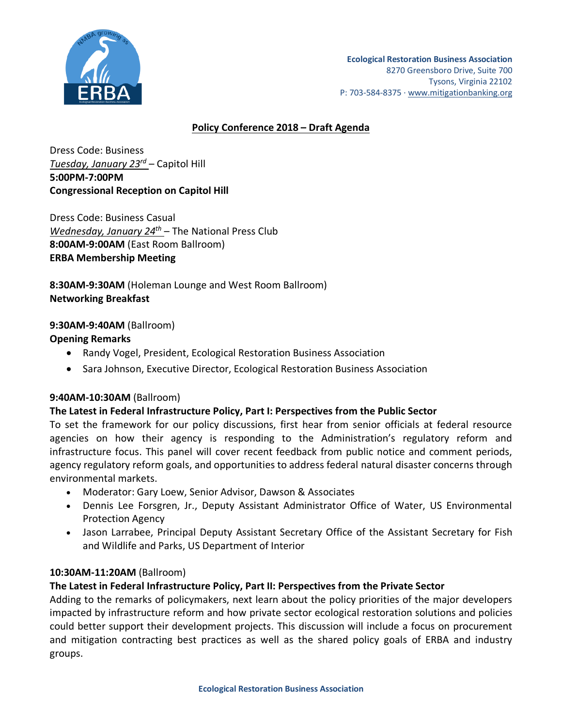

# **Policy Conference 2018 – Draft Agenda**

Dress Code: Business *Tuesday, January 23rd* – Capitol Hill **5:00PM-7:00PM Congressional Reception on Capitol Hill**

Dress Code: Business Casual *Wednesday, January 24th* – The National Press Club **8:00AM-9:00AM** (East Room Ballroom) **ERBA Membership Meeting**

**8:30AM-9:30AM** (Holeman Lounge and West Room Ballroom) **Networking Breakfast**

# **9:30AM-9:40AM** (Ballroom)

# **Opening Remarks**

- Randy Vogel, President, Ecological Restoration Business Association
- Sara Johnson, Executive Director, Ecological Restoration Business Association

# **9:40AM-10:30AM** (Ballroom)

# **The Latest in Federal Infrastructure Policy, Part I: Perspectives from the Public Sector**

To set the framework for our policy discussions, first hear from senior officials at federal resource agencies on how their agency is responding to the Administration's regulatory reform and infrastructure focus. This panel will cover recent feedback from public notice and comment periods, agency regulatory reform goals, and opportunities to address federal natural disaster concerns through environmental markets.

- Moderator: Gary Loew, Senior Advisor, Dawson & Associates
- Dennis Lee Forsgren, Jr., Deputy Assistant Administrator Office of Water, US Environmental Protection Agency
- Jason Larrabee, Principal Deputy Assistant Secretary Office of the Assistant Secretary for Fish and Wildlife and Parks, US Department of Interior

# **10:30AM-11:20AM** (Ballroom)

# **The Latest in Federal Infrastructure Policy, Part II: Perspectives from the Private Sector**

Adding to the remarks of policymakers, next learn about the policy priorities of the major developers impacted by infrastructure reform and how private sector ecological restoration solutions and policies could better support their development projects. This discussion will include a focus on procurement and mitigation contracting best practices as well as the shared policy goals of ERBA and industry groups.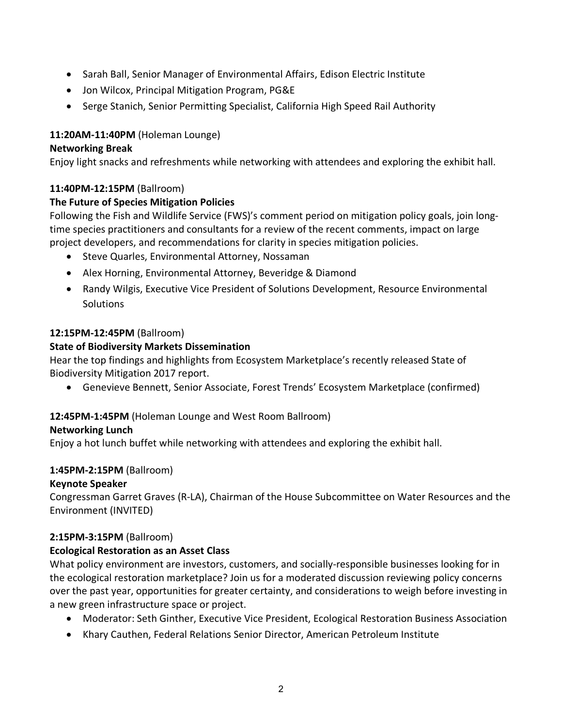- Sarah Ball, Senior Manager of Environmental Affairs, Edison Electric Institute
- Jon Wilcox, Principal Mitigation Program, PG&E
- Serge Stanich, Senior Permitting Specialist, California High Speed Rail Authority

# **11:20AM-11:40PM** (Holeman Lounge)

# **Networking Break**

Enjoy light snacks and refreshments while networking with attendees and exploring the exhibit hall.

#### **11:40PM-12:15PM** (Ballroom)

# **The Future of Species Mitigation Policies**

Following the Fish and Wildlife Service (FWS)'s comment period on mitigation policy goals, join longtime species practitioners and consultants for a review of the recent comments, impact on large project developers, and recommendations for clarity in species mitigation policies.

- Steve Quarles, Environmental Attorney, Nossaman
- Alex Horning, Environmental Attorney, Beveridge & Diamond
- Randy Wilgis, Executive Vice President of Solutions Development, Resource Environmental **Solutions**

# **12:15PM-12:45PM** (Ballroom)

# **State of Biodiversity Markets Dissemination**

Hear the top findings and highlights from Ecosystem Marketplace's recently released State of Biodiversity Mitigation 2017 report.

• Genevieve Bennett, Senior Associate, Forest Trends' Ecosystem Marketplace (confirmed)

# **12:45PM-1:45PM** (Holeman Lounge and West Room Ballroom)

# **Networking Lunch**

Enjoy a hot lunch buffet while networking with attendees and exploring the exhibit hall.

# **1:45PM-2:15PM** (Ballroom)

# **Keynote Speaker**

Congressman Garret Graves (R-LA), Chairman of the House Subcommittee on Water Resources and the Environment (INVITED)

# **2:15PM-3:15PM** (Ballroom)

# **Ecological Restoration as an Asset Class**

What policy environment are investors, customers, and socially-responsible businesses looking for in the ecological restoration marketplace? Join us for a moderated discussion reviewing policy concerns over the past year, opportunities for greater certainty, and considerations to weigh before investing in a new green infrastructure space or project.

- Moderator: Seth Ginther, Executive Vice President, Ecological Restoration Business Association
- Khary Cauthen, Federal Relations Senior Director, American Petroleum Institute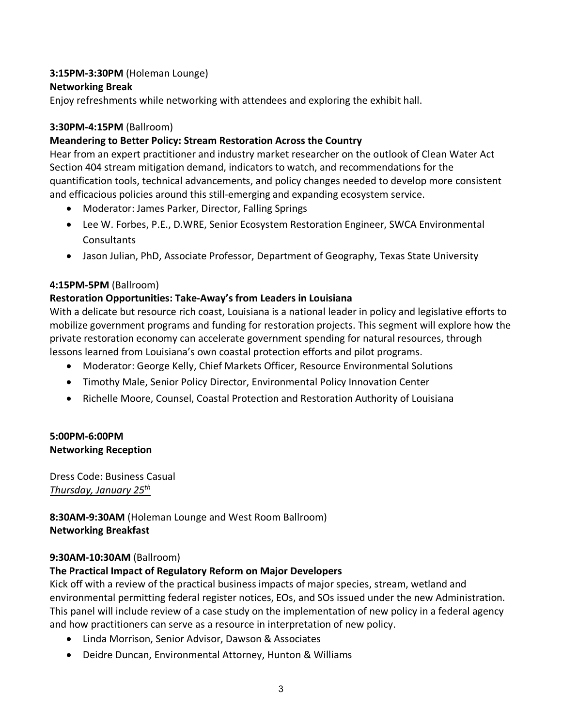# **3:15PM-3:30PM** (Holeman Lounge)

# **Networking Break**

Enjoy refreshments while networking with attendees and exploring the exhibit hall.

# **3:30PM-4:15PM** (Ballroom)

# **Meandering to Better Policy: Stream Restoration Across the Country**

Hear from an expert practitioner and industry market researcher on the outlook of Clean Water Act Section 404 stream mitigation demand, indicators to watch, and recommendations for the quantification tools, technical advancements, and policy changes needed to develop more consistent and efficacious policies around this still-emerging and expanding ecosystem service.

- Moderator: James Parker, Director, Falling Springs
- Lee W. Forbes, P.E., D.WRE, Senior Ecosystem Restoration Engineer, SWCA Environmental Consultants
- Jason Julian, PhD, Associate Professor, Department of Geography, Texas State University

# **4:15PM-5PM** (Ballroom)

# **Restoration Opportunities: Take-Away's from Leaders in Louisiana**

With a delicate but resource rich coast, Louisiana is a national leader in policy and legislative efforts to mobilize government programs and funding for restoration projects. This segment will explore how the private restoration economy can accelerate government spending for natural resources, through lessons learned from Louisiana's own coastal protection efforts and pilot programs.

- Moderator: George Kelly, Chief Markets Officer, Resource Environmental Solutions
- Timothy Male, Senior Policy Director, Environmental Policy Innovation Center
- Richelle Moore, Counsel, Coastal Protection and Restoration Authority of Louisiana

# **5:00PM-6:00PM Networking Reception**

Dress Code: Business Casual *Thursday, January 25th*

**8:30AM-9:30AM** (Holeman Lounge and West Room Ballroom) **Networking Breakfast**

# **9:30AM-10:30AM** (Ballroom)

# **The Practical Impact of Regulatory Reform on Major Developers**

Kick off with a review of the practical business impacts of major species, stream, wetland and environmental permitting federal register notices, EOs, and SOs issued under the new Administration. This panel will include review of a case study on the implementation of new policy in a federal agency and how practitioners can serve as a resource in interpretation of new policy.

- Linda Morrison, Senior Advisor, Dawson & Associates
- Deidre Duncan, Environmental Attorney, Hunton & Williams